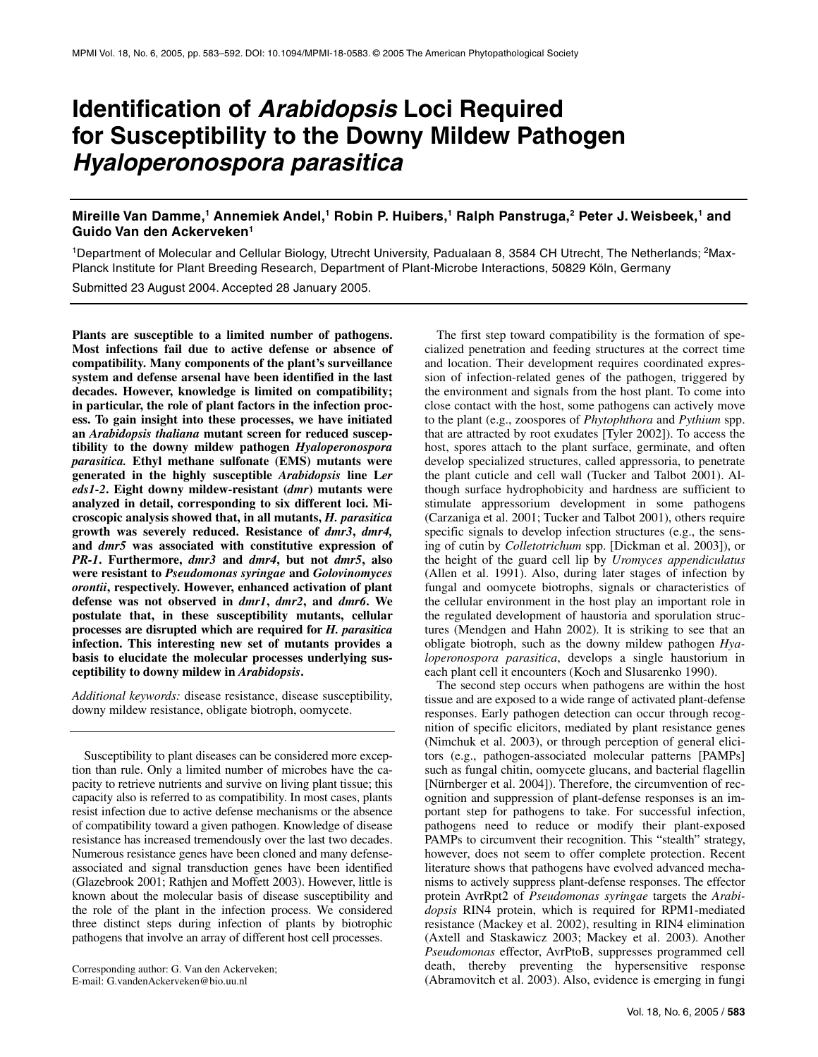# **Identification of** *Arabidopsis* **Loci Required for Susceptibility to the Downy Mildew Pathogen**  *Hyaloperonospora parasitica*

# **Mireille Van Damme,1 Annemiek Andel,1 Robin P. Huibers,1 Ralph Panstruga,2 Peter J. Weisbeek,1 and Guido Van den Ackerveken1**

<sup>1</sup>Department of Molecular and Cellular Biology, Utrecht University, Padualaan 8, 3584 CH Utrecht, The Netherlands; <sup>2</sup>Max-Planck Institute for Plant Breeding Research, Department of Plant-Microbe Interactions, 50829 Köln, Germany

Submitted 23 August 2004. Accepted 28 January 2005.

**Plants are susceptible to a limited number of pathogens. Most infections fail due to active defense or absence of compatibility. Many components of the plant's surveillance system and defense arsenal have been identified in the last decades. However, knowledge is limited on compatibility; in particular, the role of plant factors in the infection process. To gain insight into these processes, we have initiated an** *Arabidopsis thaliana* **mutant screen for reduced susceptibility to the downy mildew pathogen** *Hyaloperonospora parasitica.* **Ethyl methane sulfonate (EMS) mutants were generated in the highly susceptible** *Arabidopsis* **line L***er eds1-2***. Eight downy mildew-resistant (***dmr***) mutants were analyzed in detail, corresponding to six different loci. Microscopic analysis showed that, in all mutants,** *H. parasitica* **growth was severely reduced. Resistance of** *dmr3***,** *dmr4,* **and** *dmr5* **was associated with constitutive expression of**  *PR-1***. Furthermore,** *dmr3* **and** *dmr4***, but not** *dmr5***, also were resistant to** *Pseudomonas syringae* **and** *Golovinomyces orontii***, respectively. However, enhanced activation of plant defense was not observed in** *dmr1***,** *dmr2***, and** *dmr6***. We postulate that, in these susceptibility mutants, cellular processes are disrupted which are required for** *H. parasitica* **infection. This interesting new set of mutants provides a basis to elucidate the molecular processes underlying susceptibility to downy mildew in** *Arabidopsis***.** 

*Additional keywords:* disease resistance, disease susceptibility, downy mildew resistance, obligate biotroph, oomycete.

Susceptibility to plant diseases can be considered more exception than rule. Only a limited number of microbes have the capacity to retrieve nutrients and survive on living plant tissue; this capacity also is referred to as compatibility. In most cases, plants resist infection due to active defense mechanisms or the absence of compatibility toward a given pathogen. Knowledge of disease resistance has increased tremendously over the last two decades. Numerous resistance genes have been cloned and many defenseassociated and signal transduction genes have been identified (Glazebrook 2001; Rathjen and Moffett 2003). However, little is known about the molecular basis of disease susceptibility and the role of the plant in the infection process. We considered three distinct steps during infection of plants by biotrophic pathogens that involve an array of different host cell processes.

Corresponding author: G. Van den Ackerveken; E-mail: G.vandenAckerveken@bio.uu.nl

The first step toward compatibility is the formation of specialized penetration and feeding structures at the correct time and location. Their development requires coordinated expression of infection-related genes of the pathogen, triggered by the environment and signals from the host plant. To come into close contact with the host, some pathogens can actively move to the plant (e.g., zoospores of *Phytophthora* and *Pythium* spp. that are attracted by root exudates [Tyler 2002]). To access the host, spores attach to the plant surface, germinate, and often develop specialized structures, called appressoria, to penetrate the plant cuticle and cell wall (Tucker and Talbot 2001). Although surface hydrophobicity and hardness are sufficient to stimulate appressorium development in some pathogens (Carzaniga et al. 2001; Tucker and Talbot 2001), others require specific signals to develop infection structures (e.g., the sensing of cutin by *Colletotrichum* spp. [Dickman et al. 2003]), or the height of the guard cell lip by *Uromyces appendiculatus* (Allen et al. 1991). Also, during later stages of infection by fungal and oomycete biotrophs, signals or characteristics of the cellular environment in the host play an important role in the regulated development of haustoria and sporulation structures (Mendgen and Hahn 2002). It is striking to see that an obligate biotroph, such as the downy mildew pathogen *Hyaloperonospora parasitica*, develops a single haustorium in each plant cell it encounters (Koch and Slusarenko 1990).

The second step occurs when pathogens are within the host tissue and are exposed to a wide range of activated plant-defense responses. Early pathogen detection can occur through recognition of specific elicitors, mediated by plant resistance genes (Nimchuk et al. 2003), or through perception of general elicitors (e.g., pathogen-associated molecular patterns [PAMPs] such as fungal chitin, oomycete glucans, and bacterial flagellin [Nürnberger et al. 2004]). Therefore, the circumvention of recognition and suppression of plant-defense responses is an important step for pathogens to take. For successful infection, pathogens need to reduce or modify their plant-exposed PAMPs to circumvent their recognition. This "stealth" strategy, however, does not seem to offer complete protection. Recent literature shows that pathogens have evolved advanced mechanisms to actively suppress plant-defense responses. The effector protein AvrRpt2 of *Pseudomonas syringae* targets the *Arabidopsis* RIN4 protein, which is required for RPM1-mediated resistance (Mackey et al. 2002), resulting in RIN4 elimination (Axtell and Staskawicz 2003; Mackey et al. 2003). Another *Pseudomonas* effector, AvrPtoB, suppresses programmed cell death, thereby preventing the hypersensitive response (Abramovitch et al. 2003). Also, evidence is emerging in fungi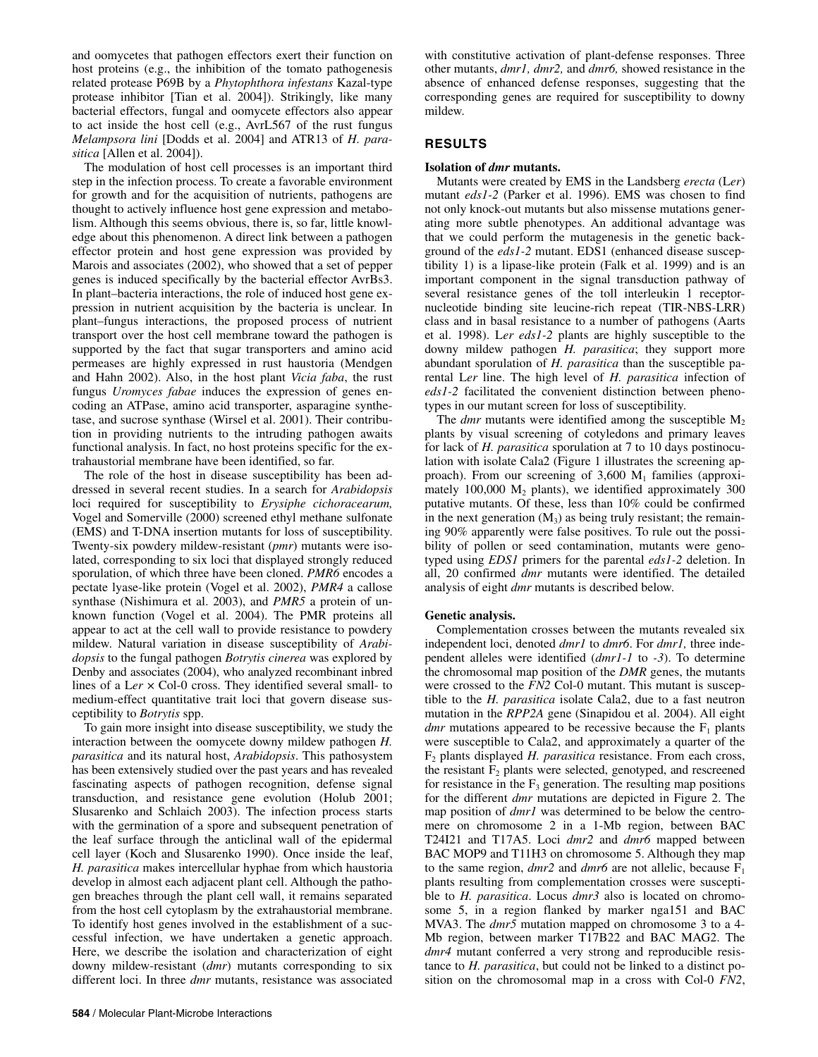and oomycetes that pathogen effectors exert their function on host proteins (e.g., the inhibition of the tomato pathogenesis related protease P69B by a *Phytophthora infestans* Kazal-type protease inhibitor [Tian et al. 2004]). Strikingly, like many bacterial effectors, fungal and oomycete effectors also appear to act inside the host cell (e.g., AvrL567 of the rust fungus *Melampsora lini* [Dodds et al. 2004] and ATR13 of *H. parasitica* [Allen et al. 2004]).

The modulation of host cell processes is an important third step in the infection process. To create a favorable environment for growth and for the acquisition of nutrients, pathogens are thought to actively influence host gene expression and metabolism. Although this seems obvious, there is, so far, little knowledge about this phenomenon. A direct link between a pathogen effector protein and host gene expression was provided by Marois and associates (2002), who showed that a set of pepper genes is induced specifically by the bacterial effector AvrBs3. In plant–bacteria interactions, the role of induced host gene expression in nutrient acquisition by the bacteria is unclear. In plant–fungus interactions, the proposed process of nutrient transport over the host cell membrane toward the pathogen is supported by the fact that sugar transporters and amino acid permeases are highly expressed in rust haustoria (Mendgen and Hahn 2002). Also, in the host plant *Vicia faba*, the rust fungus *Uromyces fabae* induces the expression of genes encoding an ATPase, amino acid transporter, asparagine synthetase, and sucrose synthase (Wirsel et al. 2001). Their contribution in providing nutrients to the intruding pathogen awaits functional analysis. In fact, no host proteins specific for the extrahaustorial membrane have been identified, so far.

The role of the host in disease susceptibility has been addressed in several recent studies. In a search for *Arabidopsis* loci required for susceptibility to *Erysiphe cichoracearum,* Vogel and Somerville (2000) screened ethyl methane sulfonate (EMS) and T-DNA insertion mutants for loss of susceptibility. Twenty-six powdery mildew-resistant (*pmr*) mutants were isolated, corresponding to six loci that displayed strongly reduced sporulation, of which three have been cloned. *PMR6* encodes a pectate lyase-like protein (Vogel et al. 2002), *PMR4* a callose synthase (Nishimura et al. 2003), and *PMR5* a protein of unknown function (Vogel et al. 2004). The PMR proteins all appear to act at the cell wall to provide resistance to powdery mildew. Natural variation in disease susceptibility of *Arabidopsis* to the fungal pathogen *Botrytis cinerea* was explored by Denby and associates (2004), who analyzed recombinant inbred lines of a L*er* × Col-0 cross. They identified several small- to medium-effect quantitative trait loci that govern disease susceptibility to *Botrytis* spp.

To gain more insight into disease susceptibility, we study the interaction between the oomycete downy mildew pathogen *H. parasitica* and its natural host, *Arabidopsis*. This pathosystem has been extensively studied over the past years and has revealed fascinating aspects of pathogen recognition, defense signal transduction, and resistance gene evolution (Holub 2001; Slusarenko and Schlaich 2003). The infection process starts with the germination of a spore and subsequent penetration of the leaf surface through the anticlinal wall of the epidermal cell layer (Koch and Slusarenko 1990). Once inside the leaf, *H. parasitica* makes intercellular hyphae from which haustoria develop in almost each adjacent plant cell. Although the pathogen breaches through the plant cell wall, it remains separated from the host cell cytoplasm by the extrahaustorial membrane. To identify host genes involved in the establishment of a successful infection, we have undertaken a genetic approach. Here, we describe the isolation and characterization of eight downy mildew-resistant (*dmr*) mutants corresponding to six different loci. In three *dmr* mutants, resistance was associated

with constitutive activation of plant-defense responses. Three other mutants, *dmr1, dmr2,* and *dmr6,* showed resistance in the absence of enhanced defense responses, suggesting that the corresponding genes are required for susceptibility to downy mildew.

# **RESULTS**

#### **Isolation of** *dmr* **mutants.**

Mutants were created by EMS in the Landsberg *erecta* (L*er*) mutant *eds1-2* (Parker et al. 1996). EMS was chosen to find not only knock-out mutants but also missense mutations generating more subtle phenotypes. An additional advantage was that we could perform the mutagenesis in the genetic background of the *eds1-2* mutant. EDS1 (enhanced disease susceptibility 1) is a lipase-like protein (Falk et al. 1999) and is an important component in the signal transduction pathway of several resistance genes of the toll interleukin 1 receptornucleotide binding site leucine-rich repeat (TIR-NBS-LRR) class and in basal resistance to a number of pathogens (Aarts et al. 1998). L*er eds1-2* plants are highly susceptible to the downy mildew pathogen *H. parasitica*; they support more abundant sporulation of *H. parasitica* than the susceptible parental L*er* line. The high level of *H. parasitica* infection of *eds1-2* facilitated the convenient distinction between phenotypes in our mutant screen for loss of susceptibility.

The *dmr* mutants were identified among the susceptible  $M_2$ plants by visual screening of cotyledons and primary leaves for lack of *H. parasitica* sporulation at 7 to 10 days postinoculation with isolate Cala2 (Figure 1 illustrates the screening approach). From our screening of  $3,600$  M<sub>1</sub> families (approximately  $100,000$  M<sub>2</sub> plants), we identified approximately  $300$ putative mutants. Of these, less than 10% could be confirmed in the next generation  $(M_3)$  as being truly resistant; the remaining 90% apparently were false positives. To rule out the possibility of pollen or seed contamination, mutants were genotyped using *EDS1* primers for the parental *eds1-2* deletion. In all, 20 confirmed *dmr* mutants were identified. The detailed analysis of eight *dmr* mutants is described below.

# **Genetic analysis.**

Complementation crosses between the mutants revealed six independent loci, denoted *dmr1* to *dmr6*. For *dmr1,* three independent alleles were identified (*dmr1-1* to *-3*). To determine the chromosomal map position of the *DMR* genes, the mutants were crossed to the *FN2* Col-0 mutant. This mutant is susceptible to the *H. parasitica* isolate Cala2, due to a fast neutron mutation in the *RPP2A* gene (Sinapidou et al. 2004). All eight *dmr* mutations appeared to be recessive because the  $F_1$  plants were susceptible to Cala2, and approximately a quarter of the F2 plants displayed *H. parasitica* resistance. From each cross, the resistant  $\tilde{F}_2$  plants were selected, genotyped, and rescreened for resistance in the  $F_3$  generation. The resulting map positions for the different *dmr* mutations are depicted in Figure 2. The map position of *dmr1* was determined to be below the centromere on chromosome 2 in a 1-Mb region, between BAC T24I21 and T17A5. Loci *dmr2* and *dmr6* mapped between BAC MOP9 and T11H3 on chromosome 5. Although they map to the same region,  $dmr2$  and  $dmr6$  are not allelic, because  $F_1$ plants resulting from complementation crosses were susceptible to *H. parasitica*. Locus *dmr3* also is located on chromosome 5, in a region flanked by marker nga151 and BAC MVA3. The *dmr5* mutation mapped on chromosome 3 to a 4- Mb region, between marker T17B22 and BAC MAG2. The *dmr4* mutant conferred a very strong and reproducible resistance to *H. parasitica*, but could not be linked to a distinct position on the chromosomal map in a cross with Col-0 *FN2*,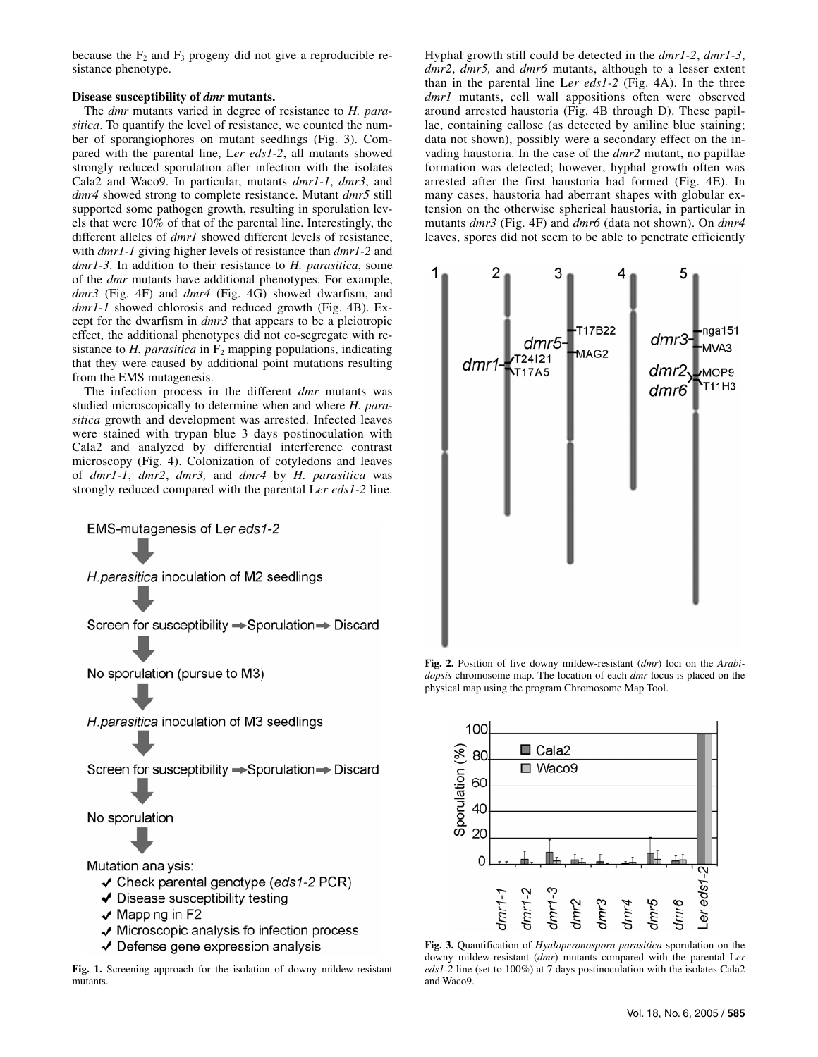because the  $F_2$  and  $F_3$  progeny did not give a reproducible resistance phenotype.

#### **Disease susceptibility of** *dmr* **mutants.**

The *dmr* mutants varied in degree of resistance to *H. parasitica*. To quantify the level of resistance, we counted the number of sporangiophores on mutant seedlings (Fig. 3). Compared with the parental line, L*er eds1-2*, all mutants showed strongly reduced sporulation after infection with the isolates Cala2 and Waco9. In particular, mutants *dmr1-1*, *dmr3*, and *dmr4* showed strong to complete resistance. Mutant *dmr5* still supported some pathogen growth, resulting in sporulation levels that were 10% of that of the parental line. Interestingly, the different alleles of *dmr1* showed different levels of resistance, with *dmr1-1* giving higher levels of resistance than *dmr1-2* and *dmr1-3*. In addition to their resistance to *H. parasitica*, some of the *dmr* mutants have additional phenotypes. For example, *dmr3* (Fig. 4F) and *dmr4* (Fig. 4G) showed dwarfism, and *dmr1-1* showed chlorosis and reduced growth (Fig. 4B). Except for the dwarfism in *dmr3* that appears to be a pleiotropic effect, the additional phenotypes did not co-segregate with resistance to  $H$ . *parasitica* in  $F_2$  mapping populations, indicating that they were caused by additional point mutations resulting from the EMS mutagenesis.

The infection process in the different *dmr* mutants was studied microscopically to determine when and where *H. parasitica* growth and development was arrested. Infected leaves were stained with trypan blue 3 days postinoculation with Cala2 and analyzed by differential interference contrast microscopy (Fig. 4). Colonization of cotyledons and leaves of *dmr1-1*, *dmr2*, *dmr3,* and *dmr4* by *H. parasitica* was strongly reduced compared with the parental L*er eds1-2* line.

EMS-mutagenesis of Ler eds1-2

H. parasitica inoculation of M2 seedlings

Screen for susceptibility → Sporulation → Discard

No sporulation (pursue to M3)

H. parasitica inoculation of M3 seedlings

Screen for susceptibility → Sporulation → Discard

No sporulation

Mutation analysis:

- $\checkmark$  Check parental genotype (eds1-2 PCR)
- ◆ Disease susceptibility testing
- $\sqrt{M}$  Mapping in F2
- ✔ Microscopic analysis fo infection process
- ✔ Defense gene expression analysis

**Fig. 1.** Screening approach for the isolation of downy mildew-resistant mutants.

Hyphal growth still could be detected in the *dmr1-2*, *dmr1-3*, *dmr2*, *dmr5,* and *dmr6* mutants, although to a lesser extent than in the parental line L*er eds1-2* (Fig. 4A). In the three *dmr1* mutants, cell wall appositions often were observed around arrested haustoria (Fig. 4B through D). These papillae, containing callose (as detected by aniline blue staining; data not shown), possibly were a secondary effect on the invading haustoria. In the case of the *dmr2* mutant, no papillae formation was detected; however, hyphal growth often was arrested after the first haustoria had formed (Fig. 4E). In many cases, haustoria had aberrant shapes with globular extension on the otherwise spherical haustoria, in particular in mutants *dmr3* (Fig. 4F) and *dmr6* (data not shown). On *dmr4* leaves, spores did not seem to be able to penetrate efficiently



**Fig. 2.** Position of five downy mildew-resistant (*dmr*) loci on the *Arabidopsis* chromosome map. The location of each *dmr* locus is placed on the physical map using the program Chromosome Map Tool.



**Fig. 3.** Quantification of *Hyaloperonospora parasitica* sporulation on the downy mildew-resistant (*dmr*) mutants compared with the parental L*er eds1-2* line (set to 100%) at 7 days postinoculation with the isolates Cala2 and Waco9.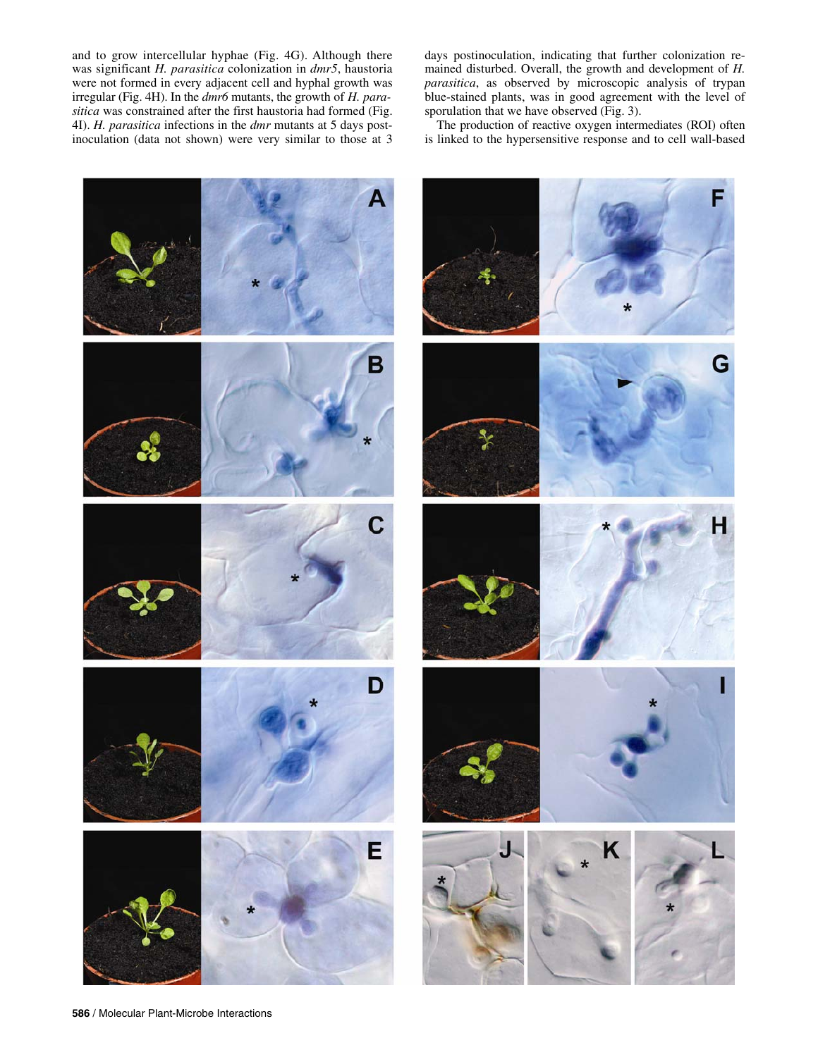and to grow intercellular hyphae (Fig. 4G). Although there was significant *H. parasitica* colonization in *dmr5*, haustoria were not formed in every adjacent cell and hyphal growth was irregular (Fig. 4H). In the *dmr6* mutants, the growth of *H. parasitica* was constrained after the first haustoria had formed (Fig. 4I). *H. parasitica* infections in the *dmr* mutants at 5 days postinoculation (data not shown) were very similar to those at 3

days postinoculation, indicating that further colonization remained disturbed. Overall, the growth and development of *H. parasitica*, as observed by microscopic analysis of trypan blue-stained plants, was in good agreement with the level of sporulation that we have observed (Fig. 3).

The production of reactive oxygen intermediates (ROI) often is linked to the hypersensitive response and to cell wall-based

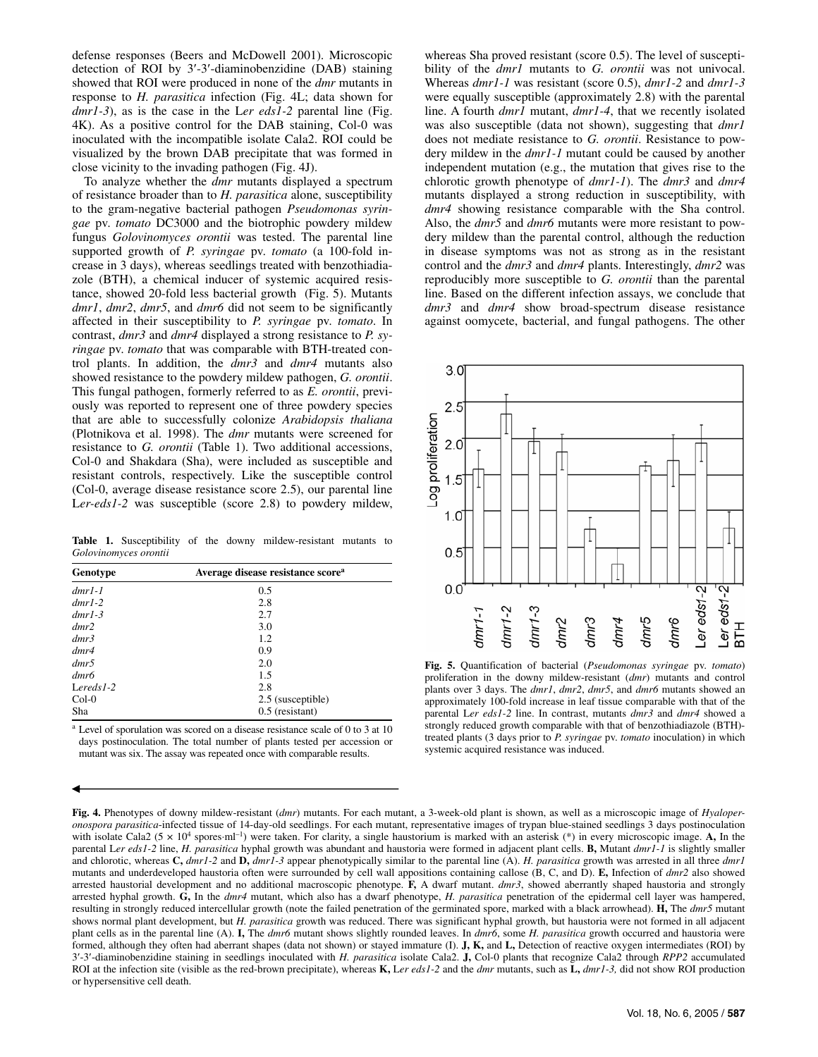defense responses (Beers and McDowell 2001). Microscopic detection of ROI by 3′-3′-diaminobenzidine (DAB) staining showed that ROI were produced in none of the *dmr* mutants in response to *H. parasitica* infection (Fig. 4L; data shown for *dmr1-3*), as is the case in the L*er eds1-2* parental line (Fig. 4K). As a positive control for the DAB staining, Col-0 was inoculated with the incompatible isolate Cala2. ROI could be visualized by the brown DAB precipitate that was formed in close vicinity to the invading pathogen (Fig. 4J).

To analyze whether the *dmr* mutants displayed a spectrum of resistance broader than to *H. parasitica* alone, susceptibility to the gram-negative bacterial pathogen *Pseudomonas syringae* pv. *tomato* DC3000 and the biotrophic powdery mildew fungus *Golovinomyces orontii* was tested. The parental line supported growth of *P. syringae* pv. *tomato* (a 100-fold increase in 3 days), whereas seedlings treated with benzothiadiazole (BTH), a chemical inducer of systemic acquired resistance, showed 20-fold less bacterial growth (Fig. 5). Mutants *dmr1*, *dmr2*, *dmr5*, and *dmr6* did not seem to be significantly affected in their susceptibility to *P. syringae* pv. *tomato*. In contrast, *dmr3* and *dmr4* displayed a strong resistance to *P. syringae* pv. *tomato* that was comparable with BTH-treated control plants. In addition, the *dmr3* and *dmr4* mutants also showed resistance to the powdery mildew pathogen, *G. orontii*. This fungal pathogen, formerly referred to as *E. orontii*, previously was reported to represent one of three powdery species that are able to successfully colonize *Arabidopsis thaliana* (Plotnikova et al. 1998). The *dmr* mutants were screened for resistance to *G. orontii* (Table 1). Two additional accessions, Col-0 and Shakdara (Sha), were included as susceptible and resistant controls, respectively. Like the susceptible control (Col-0, average disease resistance score 2.5), our parental line Ler-eds1-2 was susceptible (score 2.8) to powdery mildew,

**Table 1.** Susceptibility of the downy mildew-resistant mutants to *Golovinomyces orontii*

| Genotype     | Average disease resistance score <sup>a</sup> |
|--------------|-----------------------------------------------|
| $dmr1-1$     | 0.5                                           |
| $dmr1-2$     | 2.8                                           |
| $dmr1-3$     | 2.7                                           |
| dmr2         | 3.0                                           |
| dmr3         | 1.2                                           |
| dmr4         | 0.9                                           |
| dmr5         | 2.0                                           |
| dmr6         | 1.5                                           |
| Lereds $1-2$ | 2.8                                           |
| $Col-0$      | 2.5 (susceptible)                             |
| Sha          | $0.5$ (resistant)                             |

a Level of sporulation was scored on a disease resistance scale of 0 to 3 at 10 days postinoculation. The total number of plants tested per accession or mutant was six. The assay was repeated once with comparable results.

whereas Sha proved resistant (score 0.5). The level of susceptibility of the *dmr1* mutants to *G. orontii* was not univocal. Whereas *dmr1-1* was resistant (score 0.5), *dmr1-2* and *dmr1-3* were equally susceptible (approximately 2.8) with the parental line. A fourth *dmr1* mutant, *dmr1-4*, that we recently isolated was also susceptible (data not shown), suggesting that *dmr1* does not mediate resistance to *G. orontii*. Resistance to powdery mildew in the *dmr1-1* mutant could be caused by another independent mutation (e.g., the mutation that gives rise to the chlorotic growth phenotype of *dmr1-1*). The *dmr3* and *dmr4*  mutants displayed a strong reduction in susceptibility, with *dmr4* showing resistance comparable with the Sha control. Also, the *dmr5* and *dmr6* mutants were more resistant to powdery mildew than the parental control, although the reduction in disease symptoms was not as strong as in the resistant control and the *dmr3* and *dmr4* plants. Interestingly, *dmr2* was reproducibly more susceptible to *G. orontii* than the parental line. Based on the different infection assays, we conclude that *dmr3* and *dmr4* show broad-spectrum disease resistance against oomycete, bacterial, and fungal pathogens. The other



**Fig. 5.** Quantification of bacterial (*Pseudomonas syringae* pv. *tomato*) proliferation in the downy mildew-resistant (*dmr*) mutants and control plants over 3 days. The *dmr1*, *dmr2*, *dmr5*, and *dmr6* mutants showed an approximately 100-fold increase in leaf tissue comparable with that of the parental L*er eds1-2* line. In contrast, mutants *dmr3* and *dmr4* showed a strongly reduced growth comparable with that of benzothiadiazole (BTH) treated plants (3 days prior to *P. syringae* pv. *tomato* inoculation) in which systemic acquired resistance was induced.

**Fig. 4.** Phenotypes of downy mildew-resistant (*dmr*) mutants. For each mutant, a 3-week-old plant is shown, as well as a microscopic image of *Hyaloperonospora parasitica*-infected tissue of 14-day-old seedlings. For each mutant, representative images of trypan blue-stained seedlings 3 days postinoculation with isolate Cala2 (5  $\times$  10<sup>4</sup> spores⋅ml<sup>-1</sup>) were taken. For clarity, a single haustorium is marked with an asterisk (\*) in every microscopic image. **A,** In the parental L*er eds1-2* line, *H. parasitica* hyphal growth was abundant and haustoria were formed in adjacent plant cells. **B,** Mutant *dmr1-1* is slightly smaller and chlorotic, whereas **C,** *dmr1-2* and **D,** *dmr1-3* appear phenotypically similar to the parental line (A). *H. parasitica* growth was arrested in all three *dmr1* mutants and underdeveloped haustoria often were surrounded by cell wall appositions containing callose (B, C, and D). **E,** Infection of *dmr2* also showed arrested haustorial development and no additional macroscopic phenotype. **F,** A dwarf mutant. *dmr3*, showed aberrantly shaped haustoria and strongly arrested hyphal growth. **G,** In the *dmr4* mutant, which also has a dwarf phenotype, *H. parasitica* penetration of the epidermal cell layer was hampered, resulting in strongly reduced intercellular growth (note the failed penetration of the germinated spore, marked with a black arrowhead). **H,** The *dmr5* mutant shows normal plant development, but *H. parasitica* growth was reduced. There was significant hyphal growth, but haustoria were not formed in all adjacent plant cells as in the parental line (A). **I,** The *dmr6* mutant shows slightly rounded leaves. In *dmr6*, some *H. parasitica* growth occurred and haustoria were formed, although they often had aberrant shapes (data not shown) or stayed immature (I). **J, K,** and **L,** Detection of reactive oxygen intermediates (ROI) by 3′-3′-diaminobenzidine staining in seedlings inoculated with *H. parasitica* isolate Cala2. **J,** Col-0 plants that recognize Cala2 through *RPP2* accumulated ROI at the infection site (visible as the red-brown precipitate), whereas **K,** L*er eds1-2* and the *dmr* mutants, such as **L,** *dmr1-3,* did not show ROI production or hypersensitive cell death.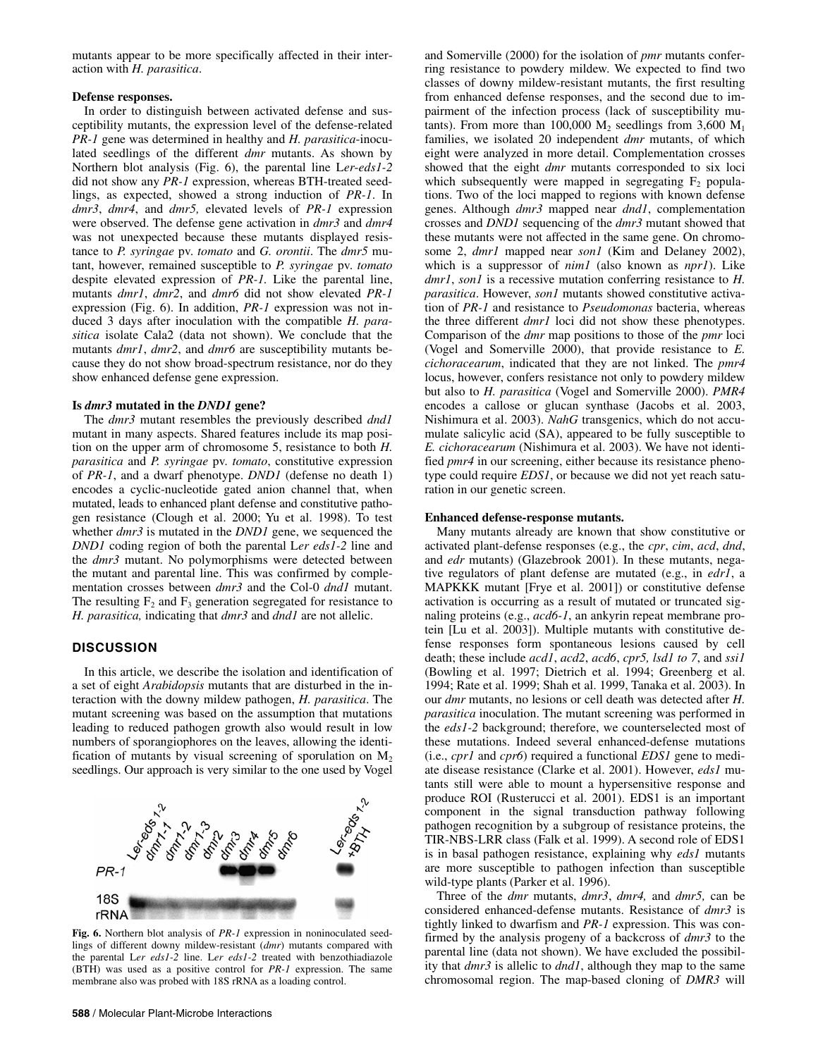mutants appear to be more specifically affected in their interaction with *H. parasitica*.

#### **Defense responses.**

In order to distinguish between activated defense and susceptibility mutants, the expression level of the defense-related *PR-1* gene was determined in healthy and *H. parasitica*-inoculated seedlings of the different *dmr* mutants. As shown by Northern blot analysis (Fig. 6), the parental line L*er*-*eds1-2* did not show any *PR-1* expression, whereas BTH-treated seedlings, as expected, showed a strong induction of *PR-1*. In *dmr3*, *dmr4*, and *dmr5,* elevated levels of *PR-1* expression were observed. The defense gene activation in *dmr3* and *dmr4* was not unexpected because these mutants displayed resistance to *P. syringae* pv. *tomato* and *G. orontii*. The *dmr5* mutant, however, remained susceptible to *P. syringae* pv. *tomato* despite elevated expression of *PR-1.* Like the parental line, mutants *dmr1*, *dmr2*, and *dmr6* did not show elevated *PR-1* expression (Fig. 6). In addition, *PR-1* expression was not induced 3 days after inoculation with the compatible *H. parasitica* isolate Cala2 (data not shown). We conclude that the mutants *dmr1*, *dmr2*, and *dmr6* are susceptibility mutants because they do not show broad-spectrum resistance, nor do they show enhanced defense gene expression.

#### **Is** *dmr3* **mutated in the** *DND1* **gene?**

The *dmr3* mutant resembles the previously described *dnd1* mutant in many aspects. Shared features include its map position on the upper arm of chromosome 5, resistance to both *H. parasitica* and *P. syringae* pv. *tomato*, constitutive expression of *PR-1*, and a dwarf phenotype. *DND1* (defense no death 1) encodes a cyclic-nucleotide gated anion channel that, when mutated, leads to enhanced plant defense and constitutive pathogen resistance (Clough et al. 2000; Yu et al. 1998). To test whether *dmr3* is mutated in the *DND1* gene, we sequenced the *DND1* coding region of both the parental L*er eds1-2* line and the *dmr3* mutant. No polymorphisms were detected between the mutant and parental line. This was confirmed by complementation crosses between *dmr3* and the Col-0 *dnd1* mutant. The resulting  $F_2$  and  $F_3$  generation segregated for resistance to *H. parasitica,* indicating that *dmr3* and *dnd1* are not allelic.

#### **DISCUSSION**

In this article, we describe the isolation and identification of a set of eight *Arabidopsis* mutants that are disturbed in the interaction with the downy mildew pathogen, *H. parasitica*. The mutant screening was based on the assumption that mutations leading to reduced pathogen growth also would result in low numbers of sporangiophores on the leaves, allowing the identification of mutants by visual screening of sporulation on  $M_2$ seedlings. Our approach is very similar to the one used by Vogel



**Fig. 6.** Northern blot analysis of *PR-1* expression in noninoculated seedlings of different downy mildew-resistant (*dmr*) mutants compared with the parental L*er eds1-2* line. L*er eds1-2* treated with benzothiadiazole (BTH) was used as a positive control for *PR-1* expression. The same membrane also was probed with 18S rRNA as a loading control.

and Somerville (2000) for the isolation of *pmr* mutants conferring resistance to powdery mildew. We expected to find two classes of downy mildew-resistant mutants, the first resulting from enhanced defense responses, and the second due to impairment of the infection process (lack of susceptibility mutants). From more than 100,000  $M_2$  seedlings from 3,600  $M_1$ families, we isolated 20 independent *dmr* mutants, of which eight were analyzed in more detail. Complementation crosses showed that the eight *dmr* mutants corresponded to six loci which subsequently were mapped in segregating  $F_2$  populations. Two of the loci mapped to regions with known defense genes. Although *dmr3* mapped near *dnd1*, complementation crosses and *DND1* sequencing of the *dmr3* mutant showed that these mutants were not affected in the same gene. On chromosome 2, *dmr1* mapped near *son1* (Kim and Delaney 2002), which is a suppressor of *nim1* (also known as *npr1*). Like *dmr1*, *son1* is a recessive mutation conferring resistance to *H. parasitica*. However, *son1* mutants showed constitutive activation of *PR-1* and resistance to *Pseudomonas* bacteria, whereas the three different *dmr1* loci did not show these phenotypes. Comparison of the *dmr* map positions to those of the *pmr* loci (Vogel and Somerville 2000), that provide resistance to *E. cichoracearum*, indicated that they are not linked. The *pmr4* locus, however, confers resistance not only to powdery mildew but also to *H. parasitica* (Vogel and Somerville 2000). *PMR4* encodes a callose or glucan synthase (Jacobs et al. 2003, Nishimura et al. 2003). *NahG* transgenics, which do not accumulate salicylic acid (SA), appeared to be fully susceptible to *E. cichoracearum* (Nishimura et al. 2003). We have not identified *pmr4* in our screening, either because its resistance phenotype could require *EDS1*, or because we did not yet reach saturation in our genetic screen.

#### **Enhanced defense-response mutants.**

Many mutants already are known that show constitutive or activated plant-defense responses (e.g., the *cpr*, *cim*, *acd*, *dnd*, and *edr* mutants) (Glazebrook 2001). In these mutants, negative regulators of plant defense are mutated (e.g., in *edr1*, a MAPKKK mutant [Frye et al. 2001]) or constitutive defense activation is occurring as a result of mutated or truncated signaling proteins (e.g., *acd6-1*, an ankyrin repeat membrane protein [Lu et al. 2003]). Multiple mutants with constitutive defense responses form spontaneous lesions caused by cell death; these include *acd1*, *acd2*, *acd6*, *cpr5, lsd1 to 7*, and *ssi1* (Bowling et al. 1997; Dietrich et al. 1994; Greenberg et al. 1994; Rate et al. 1999; Shah et al. 1999, Tanaka et al. 2003). In our *dmr* mutants, no lesions or cell death was detected after *H. parasitica* inoculation. The mutant screening was performed in the *eds1-2* background; therefore, we counterselected most of these mutations. Indeed several enhanced-defense mutations (i.e., *cpr1* and *cpr6*) required a functional *EDS1* gene to mediate disease resistance (Clarke et al. 2001). However, *eds1* mutants still were able to mount a hypersensitive response and produce ROI (Rusterucci et al. 2001). EDS1 is an important component in the signal transduction pathway following pathogen recognition by a subgroup of resistance proteins, the TIR-NBS-LRR class (Falk et al. 1999). A second role of EDS1 is in basal pathogen resistance, explaining why *eds1* mutants are more susceptible to pathogen infection than susceptible wild-type plants (Parker et al. 1996).

Three of the *dmr* mutants, *dmr3*, *dmr4,* and *dmr5,* can be considered enhanced-defense mutants. Resistance of *dmr3* is tightly linked to dwarfism and *PR-1* expression. This was confirmed by the analysis progeny of a backcross of *dmr3* to the parental line (data not shown). We have excluded the possibility that *dmr3* is allelic to *dnd1*, although they map to the same chromosomal region. The map-based cloning of *DMR3* will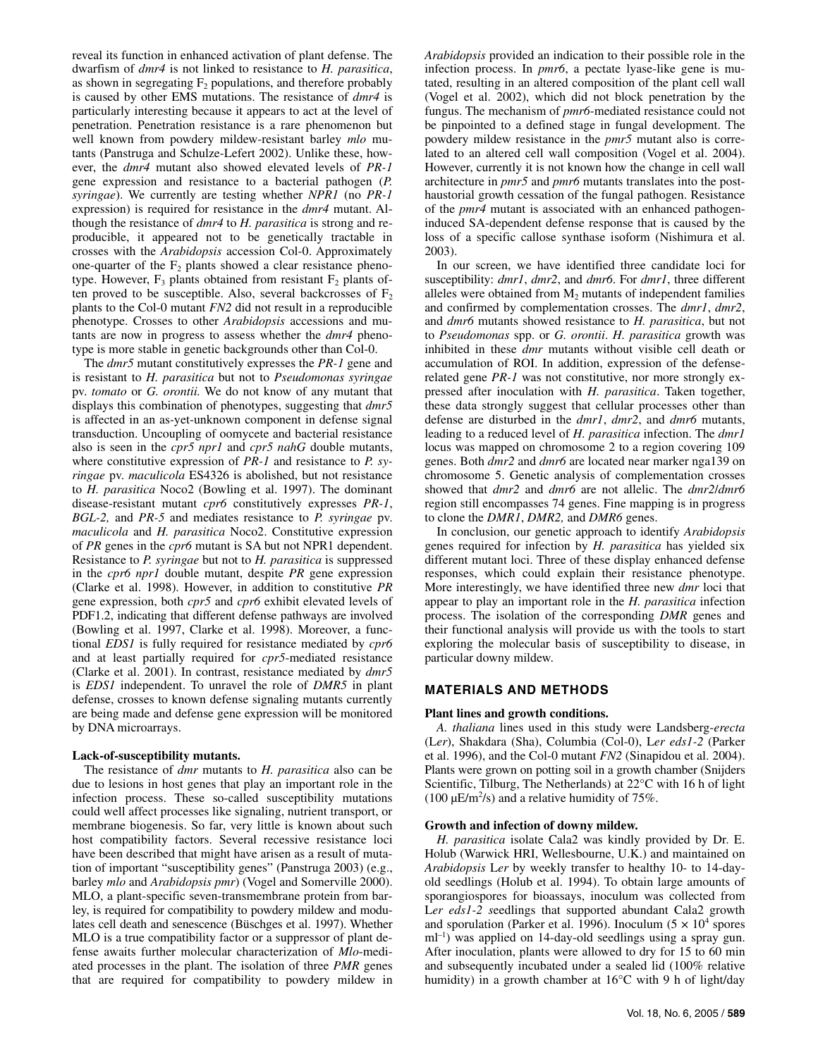reveal its function in enhanced activation of plant defense. The dwarfism of *dmr4* is not linked to resistance to *H. parasitica*, as shown in segregating  $F_2$  populations, and therefore probably is caused by other EMS mutations. The resistance of *dmr4* is particularly interesting because it appears to act at the level of penetration. Penetration resistance is a rare phenomenon but well known from powdery mildew-resistant barley *mlo* mutants (Panstruga and Schulze-Lefert 2002). Unlike these, however, the *dmr4* mutant also showed elevated levels of *PR-1* gene expression and resistance to a bacterial pathogen (*P. syringae*). We currently are testing whether *NPR1* (no *PR-1* expression) is required for resistance in the *dmr4* mutant. Although the resistance of *dmr4* to *H. parasitica* is strong and reproducible, it appeared not to be genetically tractable in crosses with the *Arabidopsis* accession Col-0. Approximately one-quarter of the  $F_2$  plants showed a clear resistance phenotype. However,  $F_3$  plants obtained from resistant  $F_2$  plants often proved to be susceptible. Also, several backcrosses of  $F_2$ plants to the Col-0 mutant *FN2* did not result in a reproducible phenotype. Crosses to other *Arabidopsis* accessions and mutants are now in progress to assess whether the *dmr4* phenotype is more stable in genetic backgrounds other than Col-0.

The *dmr5* mutant constitutively expresses the *PR-1* gene and is resistant to *H. parasitica* but not to *Pseudomonas syringae* pv. *tomato* or *G. orontii.* We do not know of any mutant that displays this combination of phenotypes, suggesting that *dmr5* is affected in an as-yet-unknown component in defense signal transduction. Uncoupling of oomycete and bacterial resistance also is seen in the *cpr5 npr1* and *cpr5 nahG* double mutants, where constitutive expression of *PR-1* and resistance to *P. syringae* pv. *maculicola* ES4326 is abolished, but not resistance to *H. parasitica* Noco2 (Bowling et al. 1997). The dominant disease-resistant mutant *cpr6* constitutively expresses *PR-1*, *BGL-2,* and *PR-5* and mediates resistance to *P. syringae* pv. *maculicola* and *H. parasitica* Noco2. Constitutive expression of *PR* genes in the *cpr6* mutant is SA but not NPR1 dependent. Resistance to *P. syringae* but not to *H. parasitica* is suppressed in the *cpr6 npr1* double mutant, despite *PR* gene expression (Clarke et al. 1998). However, in addition to constitutive *PR* gene expression, both *cpr5* and *cpr6* exhibit elevated levels of PDF1.2, indicating that different defense pathways are involved (Bowling et al. 1997, Clarke et al. 1998). Moreover, a functional *EDS1* is fully required for resistance mediated by *cpr6* and at least partially required for *cpr5*-mediated resistance (Clarke et al. 2001). In contrast, resistance mediated by *dmr5* is *EDS1* independent. To unravel the role of *DMR5* in plant defense, crosses to known defense signaling mutants currently are being made and defense gene expression will be monitored by DNA microarrays.

#### **Lack-of-susceptibility mutants.**

The resistance of *dmr* mutants to *H. parasitica* also can be due to lesions in host genes that play an important role in the infection process. These so-called susceptibility mutations could well affect processes like signaling, nutrient transport, or membrane biogenesis. So far, very little is known about such host compatibility factors. Several recessive resistance loci have been described that might have arisen as a result of mutation of important "susceptibility genes" (Panstruga 2003) (e.g., barley *mlo* and *Arabidopsis pmr*) (Vogel and Somerville 2000). MLO, a plant-specific seven-transmembrane protein from barley, is required for compatibility to powdery mildew and modulates cell death and senescence (Büschges et al. 1997). Whether MLO is a true compatibility factor or a suppressor of plant defense awaits further molecular characterization of *Mlo*-mediated processes in the plant. The isolation of three *PMR* genes that are required for compatibility to powdery mildew in

*Arabidopsis* provided an indication to their possible role in the infection process. In *pmr6*, a pectate lyase-like gene is mutated, resulting in an altered composition of the plant cell wall (Vogel et al. 2002), which did not block penetration by the fungus. The mechanism of *pmr6*-mediated resistance could not be pinpointed to a defined stage in fungal development. The powdery mildew resistance in the *pmr5* mutant also is correlated to an altered cell wall composition (Vogel et al. 2004). However, currently it is not known how the change in cell wall architecture in *pmr5* and *pmr6* mutants translates into the posthaustorial growth cessation of the fungal pathogen. Resistance of the *pmr4* mutant is associated with an enhanced pathogeninduced SA-dependent defense response that is caused by the loss of a specific callose synthase isoform (Nishimura et al. 2003).

In our screen, we have identified three candidate loci for susceptibility: *dmr1*, *dmr2*, and *dmr6*. For *dmr1*, three different alleles were obtained from  $M_2$  mutants of independent families and confirmed by complementation crosses. The *dmr1*, *dmr2*, and *dmr6* mutants showed resistance to *H. parasitica*, but not to *Pseudomonas* spp. or *G. orontii*. *H. parasitica* growth was inhibited in these *dmr* mutants without visible cell death or accumulation of ROI. In addition, expression of the defenserelated gene *PR-1* was not constitutive, nor more strongly expressed after inoculation with *H. parasitica*. Taken together, these data strongly suggest that cellular processes other than defense are disturbed in the *dmr1*, *dmr2*, and *dmr6* mutants, leading to a reduced level of *H. parasitica* infection. The *dmr1* locus was mapped on chromosome 2 to a region covering 109 genes. Both *dmr2* and *dmr6* are located near marker nga139 on chromosome 5. Genetic analysis of complementation crosses showed that *dmr2* and *dmr6* are not allelic. The *dmr2*/*dmr6* region still encompasses 74 genes. Fine mapping is in progress to clone the *DMR1*, *DMR2,* and *DMR6* genes.

In conclusion, our genetic approach to identify *Arabidopsis* genes required for infection by *H. parasitica* has yielded six different mutant loci. Three of these display enhanced defense responses, which could explain their resistance phenotype. More interestingly, we have identified three new *dmr* loci that appear to play an important role in the *H. parasitica* infection process. The isolation of the corresponding *DMR* genes and their functional analysis will provide us with the tools to start exploring the molecular basis of susceptibility to disease, in particular downy mildew.

# **MATERIALS AND METHODS**

# **Plant lines and growth conditions.**

*A. thaliana* lines used in this study were Landsberg-*erecta* (L*er*), Shakdara (Sha), Columbia (Col-0), L*er eds1-2* (Parker et al. 1996), and the Col-0 mutant *FN2* (Sinapidou et al. 2004). Plants were grown on potting soil in a growth chamber (Snijders Scientific, Tilburg, The Netherlands) at 22°C with 16 h of light (100  $\mu$ E/m<sup>2</sup>/s) and a relative humidity of 75%.

#### **Growth and infection of downy mildew.**

*H. parasitica* isolate Cala2 was kindly provided by Dr. E. Holub (Warwick HRI, Wellesbourne, U.K.) and maintained on *Arabidopsis* L*er* by weekly transfer to healthy 10- to 14-dayold seedlings (Holub et al. 1994). To obtain large amounts of sporangiospores for bioassays, inoculum was collected from L*er eds1-2 s*eedlings that supported abundant Cala2 growth and sporulation (Parker et al. 1996). Inoculum  $(5 \times 10^4$  spores ml<sup>-1</sup>) was applied on 14-day-old seedlings using a spray gun. After inoculation, plants were allowed to dry for 15 to 60 min and subsequently incubated under a sealed lid (100% relative humidity) in a growth chamber at 16°C with 9 h of light/day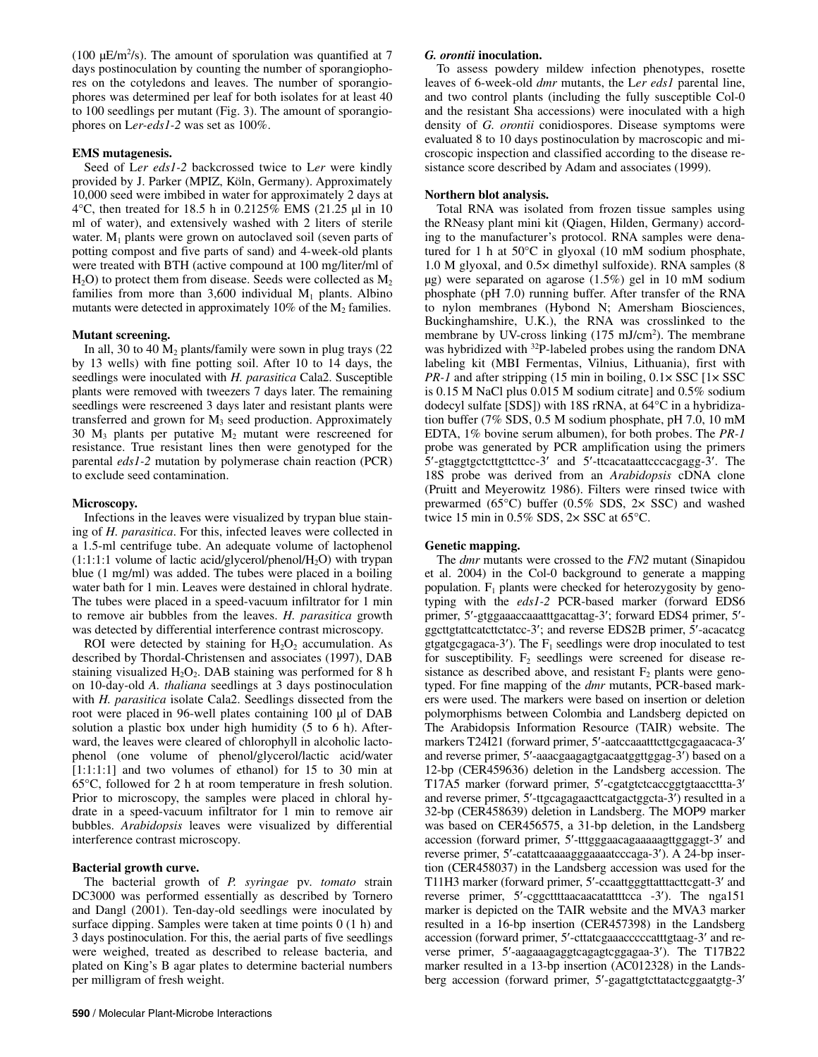(100  $\mu$ E/m<sup>2</sup>/s). The amount of sporulation was quantified at 7 days postinoculation by counting the number of sporangiophores on the cotyledons and leaves. The number of sporangiophores was determined per leaf for both isolates for at least 40 to 100 seedlings per mutant (Fig. 3). The amount of sporangiophores on L*er-eds1-2* was set as 100%.

#### **EMS mutagenesis.**

Seed of L*er eds1-2* backcrossed twice to L*er* were kindly provided by J. Parker (MPIZ, Köln, Germany). Approximately 10,000 seed were imbibed in water for approximately 2 days at 4°C, then treated for 18.5 h in 0.2125% EMS (21.25 µl in 10 ml of water), and extensively washed with 2 liters of sterile water.  $M_1$  plants were grown on autoclaved soil (seven parts of potting compost and five parts of sand) and 4-week-old plants were treated with BTH (active compound at 100 mg/liter/ml of  $H<sub>2</sub>O$ ) to protect them from disease. Seeds were collected as  $M<sub>2</sub>$ families from more than  $3,600$  individual  $M_1$  plants. Albino mutants were detected in approximately  $10\%$  of the  $M_2$  families.

# **Mutant screening.**

In all, 30 to 40  $M<sub>2</sub>$  plants/family were sown in plug trays (22) by 13 wells) with fine potting soil. After 10 to 14 days, the seedlings were inoculated with *H. parasitica* Cala2. Susceptible plants were removed with tweezers 7 days later. The remaining seedlings were rescreened 3 days later and resistant plants were transferred and grown for  $M_3$  seed production. Approximately 30  $M_3$  plants per putative  $M_2$  mutant were rescreened for resistance. True resistant lines then were genotyped for the parental *eds1-2* mutation by polymerase chain reaction (PCR) to exclude seed contamination.

# **Microscopy.**

Infections in the leaves were visualized by trypan blue staining of *H. parasitica*. For this, infected leaves were collected in a 1.5-ml centrifuge tube. An adequate volume of lactophenol  $(1:1:1:1$  volume of lactic acid/glycerol/phenol/H<sub>2</sub>O) with trypan blue (1 mg/ml) was added. The tubes were placed in a boiling water bath for 1 min. Leaves were destained in chloral hydrate. The tubes were placed in a speed-vacuum infiltrator for 1 min to remove air bubbles from the leaves. *H. parasitica* growth was detected by differential interference contrast microscopy.

ROI were detected by staining for  $H_2O_2$  accumulation. As described by Thordal-Christensen and associates (1997), DAB staining visualized  $H_2O_2$ . DAB staining was performed for 8 h on 10-day-old *A. thaliana* seedlings at 3 days postinoculation with *H. parasitica* isolate Cala2. Seedlings dissected from the root were placed in 96-well plates containing 100 µl of DAB solution a plastic box under high humidity (5 to 6 h). Afterward, the leaves were cleared of chlorophyll in alcoholic lactophenol (one volume of phenol/glycerol/lactic acid/water [1:1:1:1] and two volumes of ethanol) for 15 to 30 min at 65°C, followed for 2 h at room temperature in fresh solution. Prior to microscopy, the samples were placed in chloral hydrate in a speed-vacuum infiltrator for 1 min to remove air bubbles. *Arabidopsis* leaves were visualized by differential interference contrast microscopy.

# **Bacterial growth curve.**

The bacterial growth of *P. syringae* pv. *tomato* strain DC3000 was performed essentially as described by Tornero and Dangl (2001). Ten-day-old seedlings were inoculated by surface dipping. Samples were taken at time points 0 (1 h) and 3 days postinoculation. For this, the aerial parts of five seedlings were weighed, treated as described to release bacteria, and plated on King's B agar plates to determine bacterial numbers per milligram of fresh weight.

## *G. orontii* **inoculation.**

To assess powdery mildew infection phenotypes, rosette leaves of 6-week-old *dmr* mutants, the L*er eds1* parental line, and two control plants (including the fully susceptible Col-0 and the resistant Sha accessions) were inoculated with a high density of *G. orontii* conidiospores. Disease symptoms were evaluated 8 to 10 days postinoculation by macroscopic and microscopic inspection and classified according to the disease resistance score described by Adam and associates (1999).

## **Northern blot analysis.**

Total RNA was isolated from frozen tissue samples using the RNeasy plant mini kit (Qiagen, Hilden, Germany) according to the manufacturer's protocol. RNA samples were denatured for 1 h at 50°C in glyoxal (10 mM sodium phosphate, 1.0 M glyoxal, and 0.5× dimethyl sulfoxide). RNA samples (8 µg) were separated on agarose (1.5%) gel in 10 mM sodium phosphate (pH 7.0) running buffer. After transfer of the RNA to nylon membranes (Hybond N; Amersham Biosciences, Buckinghamshire, U.K.), the RNA was crosslinked to the membrane by UV-cross linking (175 mJ/cm<sup>2</sup>). The membrane was hybridized with <sup>32</sup>P-labeled probes using the random DNA labeling kit (MBI Fermentas, Vilnius, Lithuania), first with *PR-1* and after stripping (15 min in boiling,  $0.1 \times$  SSC [1 $\times$  SSC] is 0.15 M NaCl plus 0.015 M sodium citrate] and 0.5% sodium dodecyl sulfate [SDS]) with 18S rRNA, at 64°C in a hybridization buffer (7% SDS, 0.5 M sodium phosphate, pH 7.0, 10 mM EDTA, 1% bovine serum albumen), for both probes. The *PR-1* probe was generated by PCR amplification using the primers 5′-gtaggtgctcttgttcttcc-3′ and 5′-ttcacataattcccacgagg-3′. The 18S probe was derived from an *Arabidopsis* cDNA clone (Pruitt and Meyerowitz 1986). Filters were rinsed twice with prewarmed (65 $^{\circ}$ C) buffer (0.5% SDS, 2 $\times$  SSC) and washed twice 15 min in 0.5% SDS, 2× SSC at 65°C.

#### **Genetic mapping.**

The *dmr* mutants were crossed to the *FN2* mutant (Sinapidou et al. 2004) in the Col-0 background to generate a mapping population.  $F_1$  plants were checked for heterozygosity by genotyping with the *eds1-2* PCR-based marker (forward EDS6 primer, 5′-gtggaaaccaaatttgacattag-3′; forward EDS4 primer, 5′ ggcttgtattcatcttctatcc-3′; and reverse EDS2B primer, 5′-acacatcg gtgatgcgagaca-3'). The  $F_1$  seedlings were drop inoculated to test for susceptibility.  $F_2$  seedlings were screened for disease resistance as described above, and resistant  $F_2$  plants were genotyped. For fine mapping of the *dmr* mutants, PCR-based markers were used. The markers were based on insertion or deletion polymorphisms between Colombia and Landsberg depicted on The Arabidopsis Information Resource (TAIR) website. The markers T24I21 (forward primer, 5'-aatccaaatttcttgcgagaacaca-3' and reverse primer, 5′-aaacgaagagtgacaatggttggag-3′) based on a 12-bp (CER459636) deletion in the Landsberg accession. The T17A5 marker (forward primer, 5'-cgatgtctcaccggtgtaaccttta-3' and reverse primer, 5′-ttgcagagaacttcatgactggcta-3′) resulted in a 32-bp (CER458639) deletion in Landsberg. The MOP9 marker was based on CER456575, a 31-bp deletion, in the Landsberg accession (forward primer, 5′-tttgggaacagaaaaagttggaggt-3′ and reverse primer, 5′-catattcaaaagggaaaatcccaga-3′). A 24-bp insertion (CER458037) in the Landsberg accession was used for the T11H3 marker (forward primer, 5'-ccaattgggttatttacttcgatt-3' and reverse primer, 5′-cggcttttaacaacatattttcca -3′). The nga151 marker is depicted on the TAIR website and the MVA3 marker resulted in a 16-bp insertion (CER457398) in the Landsberg accession (forward primer, 5′-cttatcgaaacccccatttgtaag-3′ and reverse primer, 5′-aagaaagaggtcagagtcggagaa-3′). The T17B22 marker resulted in a 13-bp insertion (AC012328) in the Landsberg accession (forward primer, 5'-gagattgtcttatactcggaatgtg-3'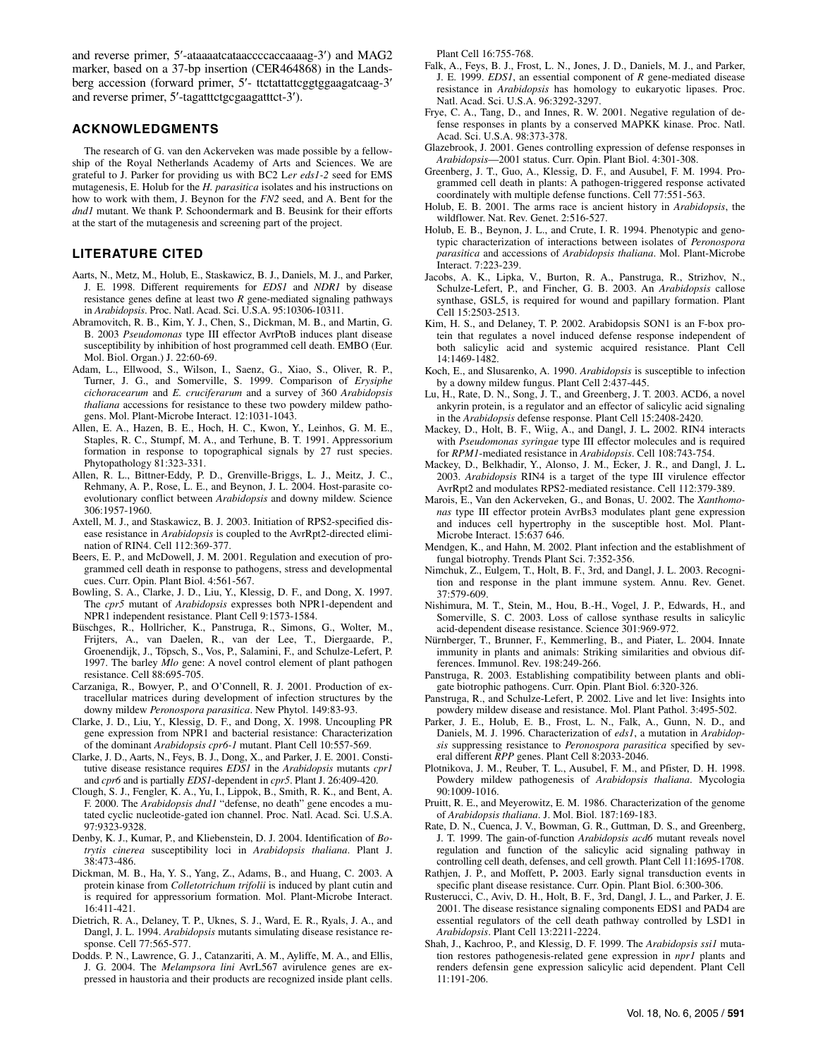and reverse primer, 5′-ataaaatcataaccccaccaaaag-3′) and MAG2 marker, based on a 37-bp insertion (CER464868) in the Landsberg accession (forward primer, 5′- ttctattattcggtggaagatcaag-3′ and reverse primer, 5'-tagatttctgcgaagatttct-3').

#### **ACKNOWLEDGMENTS**

The research of G. van den Ackerveken was made possible by a fellowship of the Royal Netherlands Academy of Arts and Sciences. We are grateful to J. Parker for providing us with BC2 L*er eds1-2* seed for EMS mutagenesis, E. Holub for the *H. parasitica* isolates and his instructions on how to work with them, J. Beynon for the *FN2* seed, and A. Bent for the *dnd1* mutant. We thank P. Schoondermark and B. Beusink for their efforts at the start of the mutagenesis and screening part of the project.

# **LITERATURE CITED**

- Aarts, N., Metz, M., Holub, E., Staskawicz, B. J., Daniels, M. J., and Parker, J. E. 1998. Different requirements for *EDS1* and *NDR1* by disease resistance genes define at least two *R* gene-mediated signaling pathways in *Arabidopsis*. Proc. Natl. Acad. Sci. U.S.A. 95:10306-10311.
- Abramovitch, R. B., Kim, Y. J., Chen, S., Dickman, M. B., and Martin, G. B. 2003 *Pseudomonas* type III effector AvrPtoB induces plant disease susceptibility by inhibition of host programmed cell death. EMBO (Eur. Mol. Biol. Organ.) J. 22:60-69.
- Adam, L., Ellwood, S., Wilson, I., Saenz, G., Xiao, S., Oliver, R. P., Turner, J. G., and Somerville, S. 1999. Comparison of *Erysiphe cichoracearum* and *E. cruciferarum* and a survey of 360 *Arabidopsis thaliana* accessions for resistance to these two powdery mildew pathogens. Mol. Plant-Microbe Interact. 12:1031-1043.
- Allen, E. A., Hazen, B. E., Hoch, H. C., Kwon, Y., Leinhos, G. M. E., Staples, R. C., Stumpf, M. A., and Terhune, B. T. 1991. Appressorium formation in response to topographical signals by 27 rust species. Phytopathology 81:323-331.
- Allen, R. L., Bittner-Eddy, P. D., Grenville-Briggs, L. J., Meitz, J. C., Rehmany, A. P., Rose, L. E., and Beynon, J. L. 2004. Host-parasite coevolutionary conflict between *Arabidopsis* and downy mildew. Science 306:1957-1960.
- Axtell, M. J., and Staskawicz, B. J. 2003. Initiation of RPS2-specified disease resistance in *Arabidopsis* is coupled to the AvrRpt2-directed elimination of RIN4. Cell 112:369-377.
- Beers, E. P., and McDowell, J. M. 2001. Regulation and execution of programmed cell death in response to pathogens, stress and developmental cues. Curr. Opin. Plant Biol. 4:561-567.
- Bowling, S. A., Clarke, J. D., Liu, Y., Klessig, D. F., and Dong, X. 1997. The *cpr5* mutant of *Arabidopsis* expresses both NPR1-dependent and NPR1 independent resistance. Plant Cell 9:1573-1584.
- Büschges, R., Hollricher, K., Panstruga, R., Simons, G., Wolter, M., Frijters, A., van Daelen, R., van der Lee, T., Diergaarde, P., Groenendijk, J., Töpsch, S., Vos, P., Salamini, F., and Schulze-Lefert, P. 1997. The barley *Mlo* gene: A novel control element of plant pathogen resistance. Cell 88:695-705.
- Carzaniga, R., Bowyer, P., and O'Connell, R. J. 2001. Production of extracellular matrices during development of infection structures by the downy mildew *Peronospora parasitica*. New Phytol. 149:83-93.
- Clarke, J. D., Liu, Y., Klessig, D. F., and Dong, X. 1998. Uncoupling PR gene expression from NPR1 and bacterial resistance: Characterization of the dominant *Arabidopsis cpr6-1* mutant. Plant Cell 10:557-569.
- Clarke, J. D., Aarts, N., Feys, B. J., Dong, X., and Parker, J. E. 2001. Constitutive disease resistance requires *EDS1* in the *Arabidopsis* mutants *cpr1* and *cpr6* and is partially *EDS1*-dependent in *cpr5*. Plant J. 26:409-420.
- Clough, S. J., Fengler, K. A., Yu, I., Lippok, B., Smith, R. K., and Bent, A. F. 2000. The *Arabidopsis dnd1* "defense, no death" gene encodes a mutated cyclic nucleotide-gated ion channel. Proc. Natl. Acad. Sci. U.S.A. 97:9323-9328.
- Denby, K. J., Kumar, P., and Kliebenstein, D. J. 2004. Identification of *Botrytis cinerea* susceptibility loci in *Arabidopsis thaliana*. Plant J. 38:473-486.
- Dickman, M. B., Ha, Y. S., Yang, Z., Adams, B., and Huang, C. 2003. A protein kinase from *Colletotrichum trifolii* is induced by plant cutin and is required for appressorium formation. Mol. Plant-Microbe Interact. 16:411-421.
- Dietrich, R. A., Delaney, T. P., Uknes, S. J., Ward, E. R., Ryals, J. A., and Dangl, J. L. 1994. *Arabidopsis* mutants simulating disease resistance response. Cell 77:565-577.
- Dodds. P. N., Lawrence, G. J., Catanzariti, A. M., Ayliffe, M. A., and Ellis, J. G. 2004. The *Melampsora lini* AvrL567 avirulence genes are expressed in haustoria and their products are recognized inside plant cells.

Plant Cell 16:755-768.

- Falk, A., Feys, B. J., Frost, L. N., Jones, J. D., Daniels, M. J., and Parker, J. E. 1999. *EDS1*, an essential component of *R* gene-mediated disease resistance in *Arabidopsis* has homology to eukaryotic lipases. Proc. Natl. Acad. Sci. U.S.A. 96:3292-3297.
- Frye, C. A., Tang, D., and Innes, R. W. 2001. Negative regulation of defense responses in plants by a conserved MAPKK kinase. Proc. Natl. Acad. Sci. U.S.A. 98:373-378.
- Glazebrook, J. 2001. Genes controlling expression of defense responses in *Arabidopsis*—2001 status. Curr. Opin. Plant Biol. 4:301-308.
- Greenberg, J. T., Guo, A., Klessig, D. F., and Ausubel, F. M. 1994. Programmed cell death in plants: A pathogen-triggered response activated coordinately with multiple defense functions. Cell 77:551-563.
- Holub, E. B. 2001. The arms race is ancient history in *Arabidopsis*, the wildflower. Nat. Rev. Genet. 2:516-527.
- Holub, E. B., Beynon, J. L., and Crute, I. R. 1994. Phenotypic and genotypic characterization of interactions between isolates of *Peronospora parasitica* and accessions of *Arabidopsis thaliana*. Mol. Plant-Microbe Interact. 7:223-239.
- Jacobs, A. K., Lipka, V., Burton, R. A., Panstruga, R., Strizhov, N., Schulze-Lefert, P., and Fincher, G. B. 2003. An *Arabidopsis* callose synthase, GSL5, is required for wound and papillary formation. Plant Cell 15:2503-2513.
- Kim, H. S., and Delaney, T. P. 2002. Arabidopsis SON1 is an F-box protein that regulates a novel induced defense response independent of both salicylic acid and systemic acquired resistance. Plant Cell 14:1469-1482.
- Koch, E., and Slusarenko, A. 1990. *Arabidopsis* is susceptible to infection by a downy mildew fungus. Plant Cell 2:437-445.
- Lu, H., Rate, D. N., Song, J. T., and Greenberg, J. T. 2003. ACD6, a novel ankyrin protein, is a regulator and an effector of salicylic acid signaling in the *Arabidopsis* defense response. Plant Cell 15:2408-2420.
- Mackey, D., Holt, B. F., Wiig, A., and Dangl, J. L**.** 2002. RIN4 interacts with *Pseudomonas syringae* type III effector molecules and is required for *RPM1*-mediated resistance in *Arabidopsis*. Cell 108:743-754.
- Mackey, D., Belkhadir, Y., Alonso, J. M., Ecker, J. R., and Dangl, J. L**.** 2003. *Arabidopsis* RIN4 is a target of the type III virulence effector AvrRpt2 and modulates RPS2-mediated resistance. Cell 112:379-389.
- Marois, E., Van den Ackerveken, G., and Bonas, U. 2002. The *Xanthomonas* type III effector protein AvrBs3 modulates plant gene expression and induces cell hypertrophy in the susceptible host. Mol. Plant-Microbe Interact. 15:637 646.
- Mendgen, K., and Hahn, M. 2002. Plant infection and the establishment of fungal biotrophy. Trends Plant Sci. 7:352-356.
- Nimchuk, Z., Eulgem, T., Holt, B. F., 3rd, and Dangl, J. L. 2003. Recognition and response in the plant immune system. Annu. Rev. Genet. 37:579-609.
- Nishimura, M. T., Stein, M., Hou, B.-H., Vogel, J. P., Edwards, H., and Somerville, S. C. 2003. Loss of callose synthase results in salicylic acid-dependent disease resistance. Science 301:969-972.
- Nürnberger, T., Brunner, F., Kemmerling, B., and Piater, L. 2004. Innate immunity in plants and animals: Striking similarities and obvious differences. Immunol. Rev. 198:249-266.
- Panstruga, R. 2003. Establishing compatibility between plants and obligate biotrophic pathogens. Curr. Opin. Plant Biol. 6:320-326.
- Panstruga, R., and Schulze-Lefert, P. 2002. Live and let live: Insights into powdery mildew disease and resistance. Mol. Plant Pathol. 3:495-502.
- Parker, J. E., Holub, E. B., Frost, L. N., Falk, A., Gunn, N. D., and Daniels, M. J. 1996. Characterization of *eds1*, a mutation in *Arabidopsis* suppressing resistance to *Peronospora parasitica* specified by several different *RPP* genes. Plant Cell 8:2033-2046.
- Plotnikova, J. M., Reuber, T. L., Ausubel, F. M., and Pfister, D. H. 1998. Powdery mildew pathogenesis of *Arabidopsis thaliana*. Mycologia 90:1009-1016.
- Pruitt, R. E., and Meyerowitz, E. M. 1986. Characterization of the genome of *Arabidopsis thaliana*. J. Mol. Biol. 187:169-183.
- Rate, D. N., Cuenca, J. V., Bowman, G. R., Guttman, D. S., and Greenberg, J. T. 1999. The gain-of-function *Arabidopsis acd6* mutant reveals novel regulation and function of the salicylic acid signaling pathway in controlling cell death, defenses, and cell growth. Plant Cell 11:1695-1708.
- Rathjen, J. P., and Moffett, P**.** 2003. Early signal transduction events in specific plant disease resistance. Curr. Opin. Plant Biol. 6:300-306.
- Rusterucci, C., Aviv, D. H., Holt, B. F., 3rd, Dangl, J. L., and Parker, J. E. 2001. The disease resistance signaling components EDS1 and PAD4 are essential regulators of the cell death pathway controlled by LSD1 in *Arabidopsis*. Plant Cell 13:2211-2224.
- Shah, J., Kachroo, P., and Klessig, D. F. 1999. The *Arabidopsis ssi1* mutation restores pathogenesis-related gene expression in *npr1* plants and renders defensin gene expression salicylic acid dependent. Plant Cell 11:191-206.